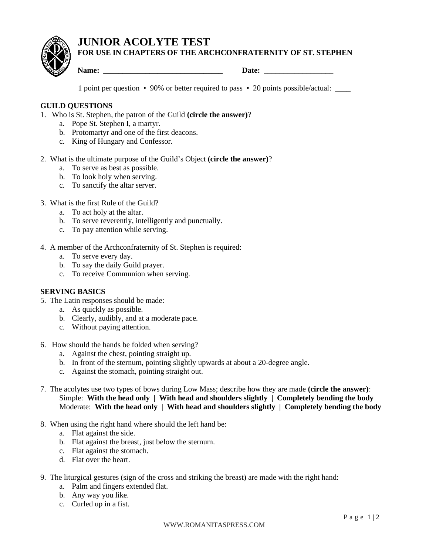# **JUNIOR ACOLYTE TEST FOR USE IN CHAPTERS OF THE ARCHCONFRATERNITY OF ST. STEPHEN**

**Name: \_\_\_\_\_\_\_\_\_\_\_\_\_\_\_\_\_\_\_\_\_\_\_\_\_\_\_\_\_\_\_ Date:** \_\_\_\_\_\_\_\_\_\_\_\_\_\_\_\_\_\_

1 point per question • 90% or better required to pass • 20 points possible/actual: \_\_\_\_

## **GUILD QUESTIONS**

- 1. Who is St. Stephen, the patron of the Guild **(circle the answer)**?
	- a. Pope St. Stephen I, a martyr.
	- b. Protomartyr and one of the first deacons.
	- c. King of Hungary and Confessor.
- 2. What is the ultimate purpose of the Guild's Object **(circle the answer)**?
	- a. To serve as best as possible.
	- b. To look holy when serving.
	- c. To sanctify the altar server.

## 3. What is the first Rule of the Guild?

- a. To act holy at the altar.
- b. To serve reverently, intelligently and punctually.
- c. To pay attention while serving.
- 4. A member of the Archconfraternity of St. Stephen is required:
	- a. To serve every day.
	- b. To say the daily Guild prayer.
	- c. To receive Communion when serving.

## **SERVING BASICS**

- 5. The Latin responses should be made:
	- a. As quickly as possible.
	- b. Clearly, audibly, and at a moderate pace.
	- c. Without paying attention.
- 6. How should the hands be folded when serving?
	- a. Against the chest, pointing straight up.
	- b. In front of the sternum, pointing slightly upwards at about a 20-degree angle.
	- c. Against the stomach, pointing straight out.
- 7. The acolytes use two types of bows during Low Mass; describe how they are made **(circle the answer)**: Simple: **With the head only | With head and shoulders slightly | Completely bending the body** Moderate: With the head only | With head and shoulders slightly | Completely bending the body
- 8. When using the right hand where should the left hand be:
	- a. Flat against the side.
	- b. Flat against the breast, just below the sternum.
	- c. Flat against the stomach.
	- d. Flat over the heart.
- 9. The liturgical gestures (sign of the cross and striking the breast) are made with the right hand:
	- a. Palm and fingers extended flat.
	- b. Any way you like.
	- c. Curled up in a fist.